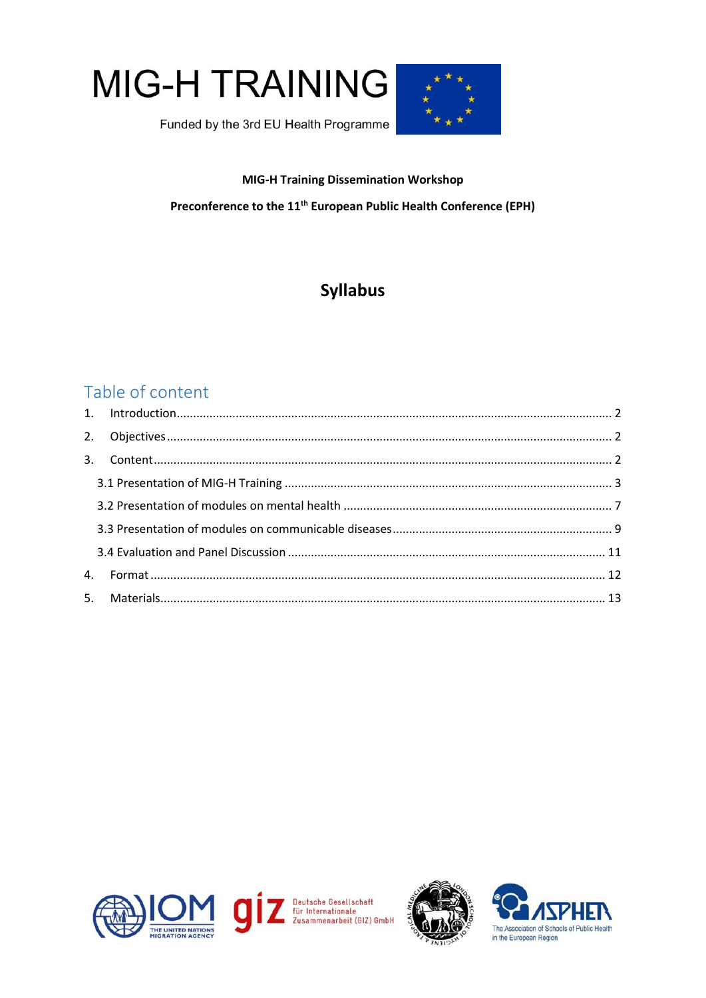



# **MIG-H Training Dissemination Workshop**

Preconference to the 11<sup>th</sup> European Public Health Conference (EPH)

# **Syllabus**

# Table of content



Deutsche Gesellschaft<br>für Internationale<br>Zusammenarbeit (GIZ) GmbH



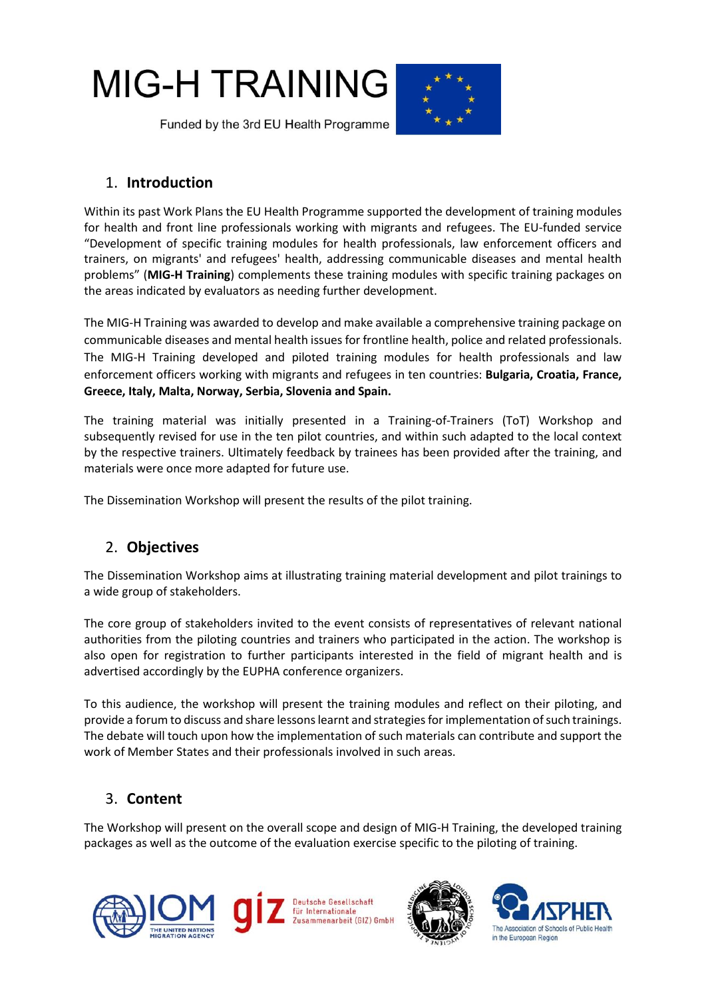



# <span id="page-1-0"></span>1. **Introduction**

Within its past Work Plans the EU Health Programme supported the development of training modules for health and front line professionals working with migrants and refugees. The EU-funded service "Development of specific training modules for health professionals, law enforcement officers and trainers, on migrants' and refugees' health, addressing communicable diseases and mental health problems" (**MIG-H Training**) complements these training modules with specific training packages on the areas indicated by evaluators as needing further development.

The MIG-H Training was awarded to develop and make available a comprehensive training package on communicable diseases and mental health issues for frontline health, police and related professionals. The MIG-H Training developed and piloted training modules for health professionals and law enforcement officers working with migrants and refugees in ten countries: **Bulgaria, Croatia, France, Greece, Italy, Malta, Norway, Serbia, Slovenia and Spain.**

The training material was initially presented in a Training-of-Trainers (ToT) Workshop and subsequently revised for use in the ten pilot countries, and within such adapted to the local context by the respective trainers. Ultimately feedback by trainees has been provided after the training, and materials were once more adapted for future use.

<span id="page-1-1"></span>The Dissemination Workshop will present the results of the pilot training.

# 2. **Objectives**

The Dissemination Workshop aims at illustrating training material development and pilot trainings to a wide group of stakeholders.

The core group of stakeholders invited to the event consists of representatives of relevant national authorities from the piloting countries and trainers who participated in the action. The workshop is also open for registration to further participants interested in the field of migrant health and is advertised accordingly by the EUPHA conference organizers.

To this audience, the workshop will present the training modules and reflect on their piloting, and provide a forum to discuss and share lessons learnt and strategiesfor implementation of such trainings. The debate will touch upon how the implementation of such materials can contribute and support the work of Member States and their professionals involved in such areas.

# <span id="page-1-2"></span>3. **Content**

The Workshop will present on the overall scope and design of MIG-H Training, the developed training packages as well as the outcome of the evaluation exercise specific to the piloting of training.





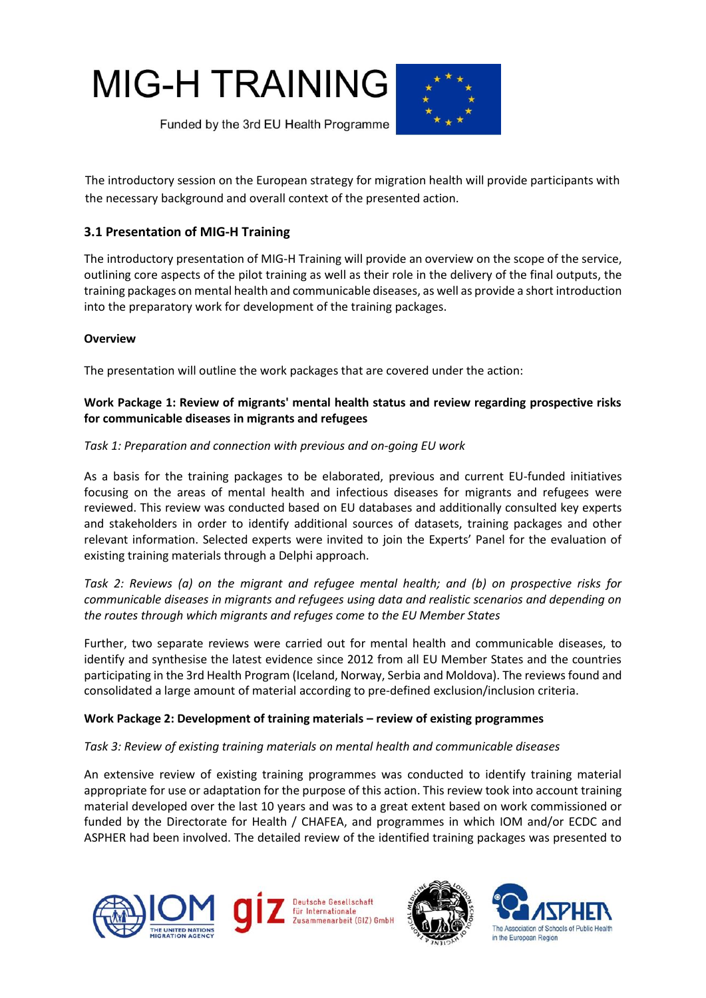



The introductory session on the European strategy for migration health will provide participants with the necessary background and overall context of the presented action.

# <span id="page-2-0"></span>**3.1 Presentation of MIG-H Training**

The introductory presentation of MIG-H Training will provide an overview on the scope of the service, outlining core aspects of the pilot training as well as their role in the delivery of the final outputs, the training packages on mental health and communicable diseases, as well as provide a short introduction into the preparatory work for development of the training packages.

# **Overview**

The presentation will outline the work packages that are covered under the action:

# **Work Package 1: Review of migrants' mental health status and review regarding prospective risks for communicable diseases in migrants and refugees**

# *Task 1: Preparation and connection with previous and on-going EU work*

As a basis for the training packages to be elaborated, previous and current EU-funded initiatives focusing on the areas of mental health and infectious diseases for migrants and refugees were reviewed. This review was conducted based on EU databases and additionally consulted key experts and stakeholders in order to identify additional sources of datasets, training packages and other relevant information. Selected experts were invited to join the Experts' Panel for the evaluation of existing training materials through a Delphi approach.

*Task 2: Reviews (a) on the migrant and refugee mental health; and (b) on prospective risks for communicable diseases in migrants and refugees using data and realistic scenarios and depending on the routes through which migrants and refuges come to the EU Member States* 

Further, two separate reviews were carried out for mental health and communicable diseases, to identify and synthesise the latest evidence since 2012 from all EU Member States and the countries participating in the 3rd Health Program (Iceland, Norway, Serbia and Moldova). The reviews found and consolidated a large amount of material according to pre-defined exclusion/inclusion criteria.

# **Work Package 2: Development of training materials – review of existing programmes**

# *Task 3: Review of existing training materials on mental health and communicable diseases*

An extensive review of existing training programmes was conducted to identify training material appropriate for use or adaptation for the purpose of this action. This review took into account training material developed over the last 10 years and was to a great extent based on work commissioned or funded by the Directorate for Health / CHAFEA, and programmes in which IOM and/or ECDC and ASPHER had been involved. The detailed review of the identified training packages was presented to







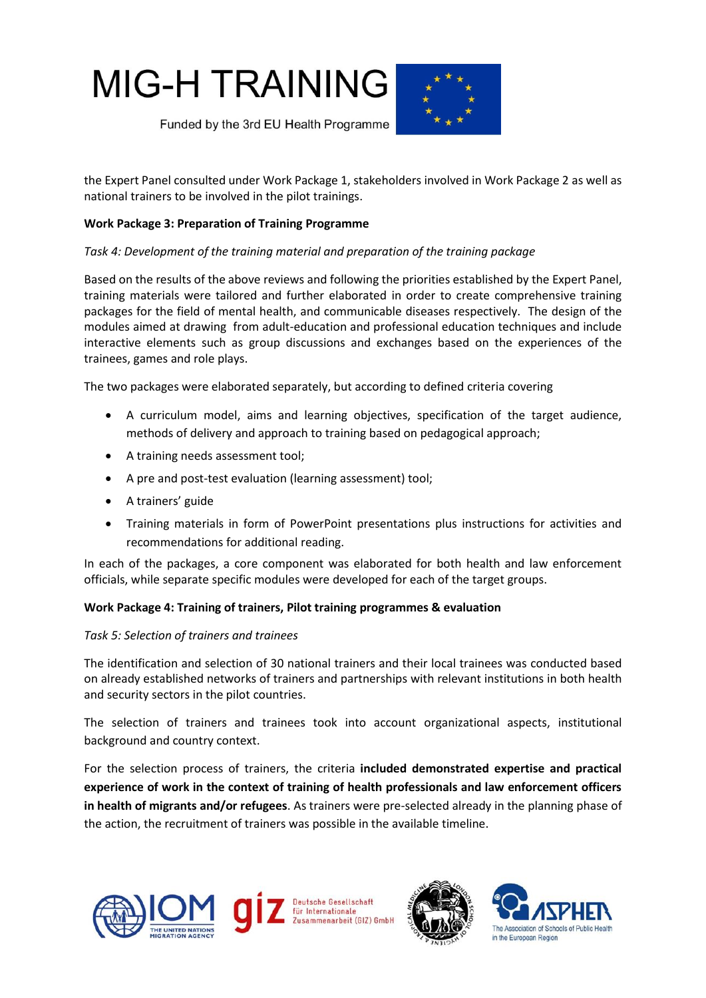



the Expert Panel consulted under Work Package 1, stakeholders involved in Work Package 2 as well as national trainers to be involved in the pilot trainings.

#### **Work Package 3: Preparation of Training Programme**

#### *Task 4: Development of the training material and preparation of the training package*

Based on the results of the above reviews and following the priorities established by the Expert Panel, training materials were tailored and further elaborated in order to create comprehensive training packages for the field of mental health, and communicable diseases respectively. The design of the modules aimed at drawing from adult-education and professional education techniques and include interactive elements such as group discussions and exchanges based on the experiences of the trainees, games and role plays.

The two packages were elaborated separately, but according to defined criteria covering

- A curriculum model, aims and learning objectives, specification of the target audience, methods of delivery and approach to training based on pedagogical approach;
- A training needs assessment tool;
- A pre and post-test evaluation (learning assessment) tool;
- A trainers' guide
- Training materials in form of PowerPoint presentations plus instructions for activities and recommendations for additional reading.

In each of the packages, a core component was elaborated for both health and law enforcement officials, while separate specific modules were developed for each of the target groups.

#### **Work Package 4: Training of trainers, Pilot training programmes & evaluation**

#### *Task 5: Selection of trainers and trainees*

The identification and selection of 30 national trainers and their local trainees was conducted based on already established networks of trainers and partnerships with relevant institutions in both health and security sectors in the pilot countries.

The selection of trainers and trainees took into account organizational aspects, institutional background and country context.

For the selection process of trainers, the criteria **included demonstrated expertise and practical experience of work in the context of training of health professionals and law enforcement officers in health of migrants and/or refugees**. As trainers were pre-selected already in the planning phase of the action, the recruitment of trainers was possible in the available timeline.





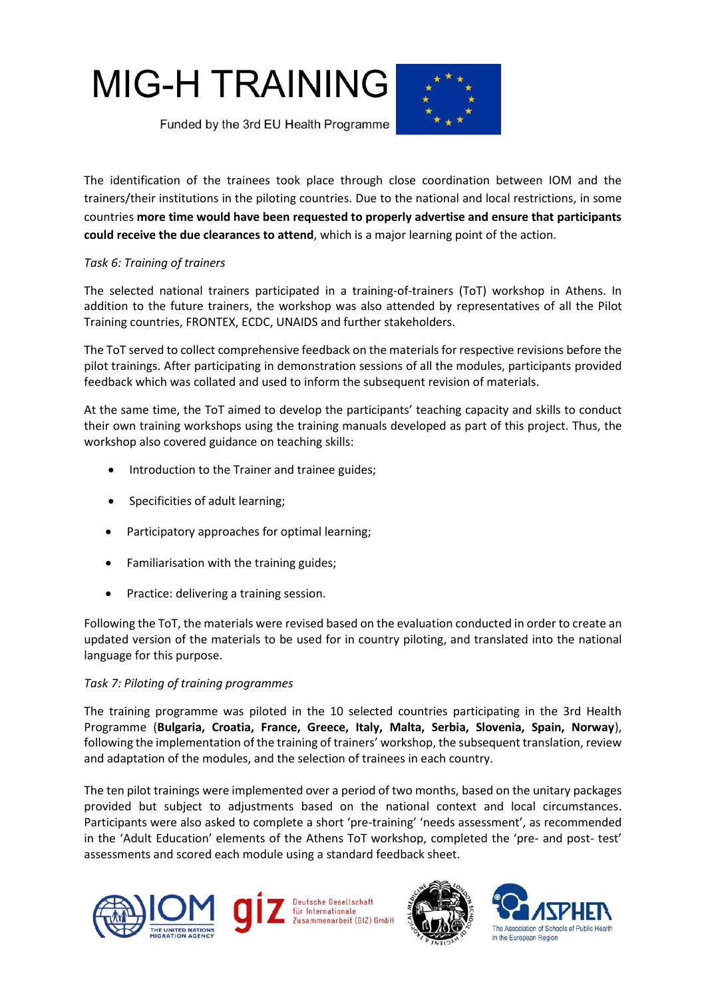



The identification of the trainees took place through close coordination between IOM and the trainers/their institutions in the piloting countries. Due to the national and local restrictions, in some countries **more time would have been requested to properly advertise and ensure that participants could receive the due clearances to attend**, which is a major learning point of the action.

# *Task 6: Training of trainers*

The selected national trainers participated in a training-of-trainers (ToT) workshop in Athens. In addition to the future trainers, the workshop was also attended by representatives of all the Pilot Training countries, FRONTEX, ECDC, UNAIDS and further stakeholders.

The ToT served to collect comprehensive feedback on the materials for respective revisions before the pilot trainings. After participating in demonstration sessions of all the modules, participants provided feedback which was collated and used to inform the subsequent revision of materials.

At the same time, the ToT aimed to develop the participants' teaching capacity and skills to conduct their own training workshops using the training manuals developed as part of this project. Thus, the workshop also covered guidance on teaching skills:

- Introduction to the Trainer and trainee guides;
- Specificities of adult learning;
- Participatory approaches for optimal learning;
- Familiarisation with the training guides;
- Practice: delivering a training session.

Following the ToT, the materials were revised based on the evaluation conducted in order to create an updated version of the materials to be used for in country piloting, and translated into the national language for this purpose.

# *Task 7: Piloting of training programmes*

The training programme was piloted in the 10 selected countries participating in the 3rd Health Programme (**Bulgaria, Croatia, France, Greece, Italy, Malta, Serbia, Slovenia, Spain, Norway**), following the implementation of the training of trainers' workshop, the subsequent translation, review and adaptation of the modules, and the selection of trainees in each country.

The ten pilot trainings were implemented over a period of two months, based on the unitary packages provided but subject to adjustments based on the national context and local circumstances. Participants were also asked to complete a short 'pre-training' 'needs assessment', as recommended in the 'Adult Education' elements of the Athens ToT workshop, completed the 'pre- and post- test' assessments and scored each module using a standard feedback sheet.





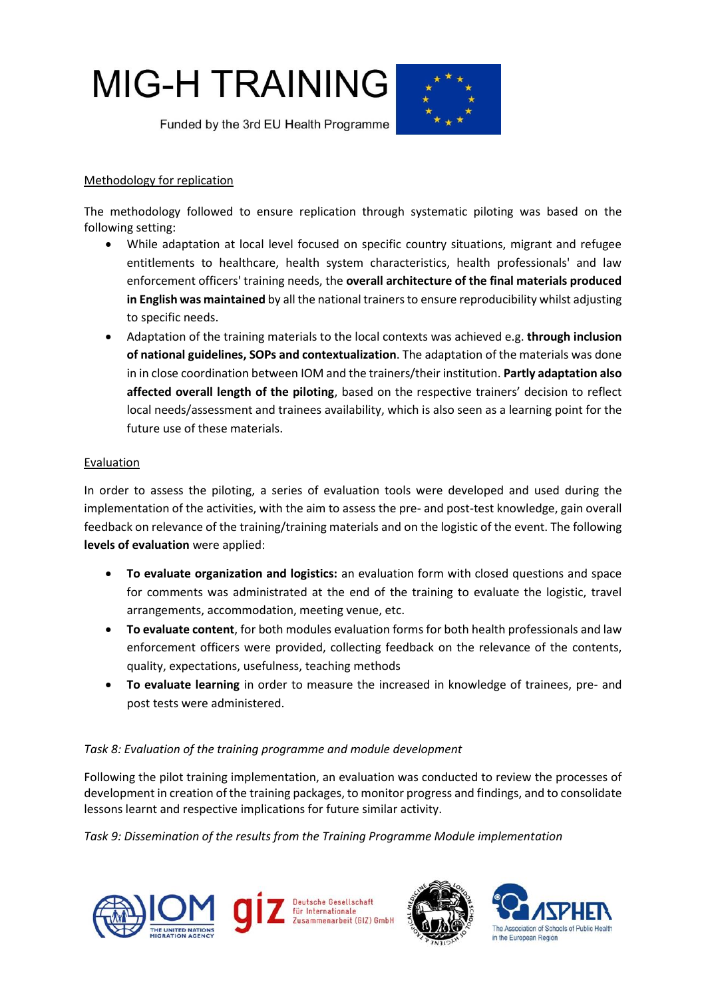

# Methodology for replication

The methodology followed to ensure replication through systematic piloting was based on the following setting:

- While adaptation at local level focused on specific country situations, migrant and refugee entitlements to healthcare, health system characteristics, health professionals' and law enforcement officers' training needs, the **overall architecture of the final materials produced in English was maintained** by all the national trainers to ensure reproducibility whilst adjusting to specific needs.
- Adaptation of the training materials to the local contexts was achieved e.g. **through inclusion of national guidelines, SOPs and contextualization**. The adaptation of the materials was done in in close coordination between IOM and the trainers/their institution. **Partly adaptation also affected overall length of the piloting**, based on the respective trainers' decision to reflect local needs/assessment and trainees availability, which is also seen as a learning point for the future use of these materials.

# Evaluation

In order to assess the piloting, a series of evaluation tools were developed and used during the implementation of the activities, with the aim to assess the pre- and post-test knowledge, gain overall feedback on relevance of the training/training materials and on the logistic of the event. The following **levels of evaluation** were applied:

- **To evaluate organization and logistics:** an evaluation form with closed questions and space for comments was administrated at the end of the training to evaluate the logistic, travel arrangements, accommodation, meeting venue, etc.
- **To evaluate content**, for both modules evaluation forms for both health professionals and law enforcement officers were provided, collecting feedback on the relevance of the contents, quality, expectations, usefulness, teaching methods
- **To evaluate learning** in order to measure the increased in knowledge of trainees, pre- and post tests were administered.

# *Task 8: Evaluation of the training programme and module development*

Following the pilot training implementation, an evaluation was conducted to review the processes of development in creation of the training packages, to monitor progress and findings, and to consolidate lessons learnt and respective implications for future similar activity.

*Task 9: Dissemination of the results from the Training Programme Module implementation* 





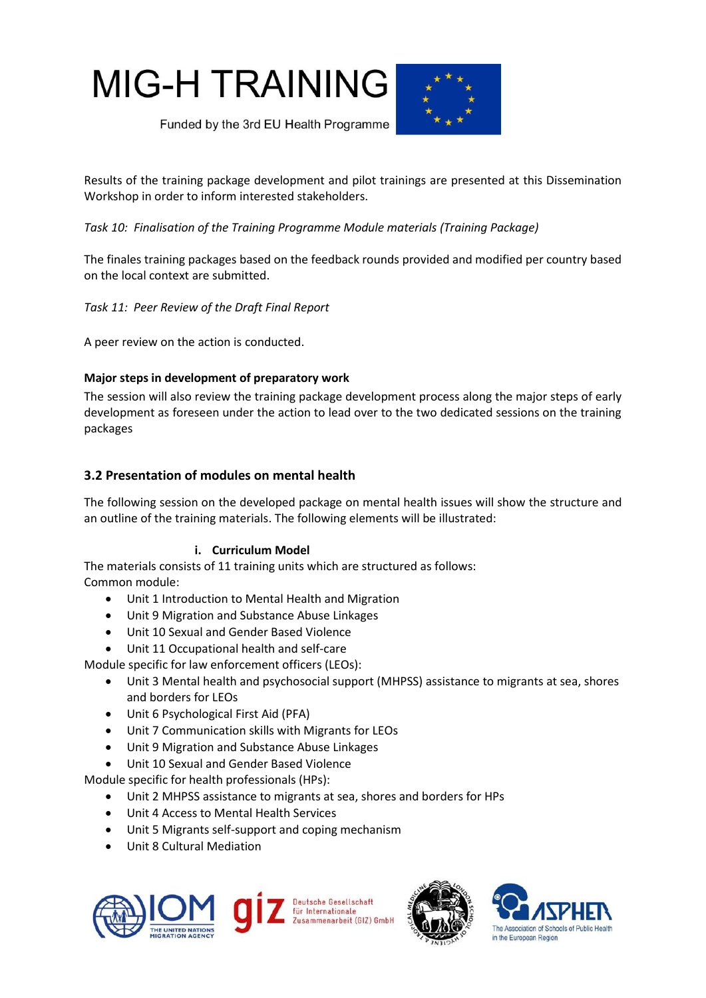**MIG-H TRAINING** 



Funded by the 3rd EU Health Programme

Results of the training package development and pilot trainings are presented at this Dissemination Workshop in order to inform interested stakeholders.

*Task 10: Finalisation of the Training Programme Module materials (Training Package)* 

The finales training packages based on the feedback rounds provided and modified per country based on the local context are submitted.

*Task 11: Peer Review of the Draft Final Report* 

A peer review on the action is conducted.

# **Major steps in development of preparatory work**

The session will also review the training package development process along the major steps of early development as foreseen under the action to lead over to the two dedicated sessions on the training packages

# <span id="page-6-0"></span>**3.2 Presentation of modules on mental health**

The following session on the developed package on mental health issues will show the structure and an outline of the training materials. The following elements will be illustrated:

# **i. Curriculum Model**

The materials consists of 11 training units which are structured as follows: Common module:

- Unit 1 Introduction to Mental Health and Migration
- Unit 9 Migration and Substance Abuse Linkages
- Unit 10 Sexual and Gender Based Violence
- Unit 11 Occupational health and self-care

Module specific for law enforcement officers (LEOs):

- Unit 3 Mental health and psychosocial support (MHPSS) assistance to migrants at sea, shores and borders for LEOs
- Unit 6 Psychological First Aid (PFA)
- Unit 7 Communication skills with Migrants for LEOs
- Unit 9 Migration and Substance Abuse Linkages
- Unit 10 Sexual and Gender Based Violence

Module specific for health professionals (HPs):

- Unit 2 MHPSS assistance to migrants at sea, shores and borders for HPs
- Unit 4 Access to Mental Health Services
- Unit 5 Migrants self-support and coping mechanism
- Unit 8 Cultural Mediation





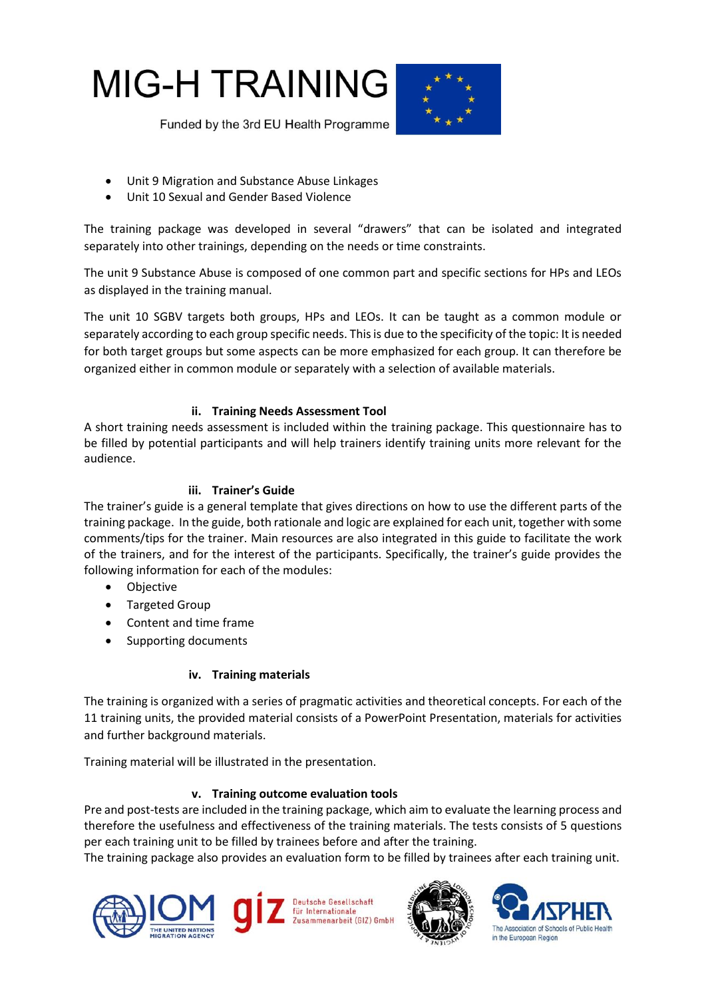



- Unit 9 Migration and Substance Abuse Linkages
- Unit 10 Sexual and Gender Based Violence

The training package was developed in several "drawers" that can be isolated and integrated separately into other trainings, depending on the needs or time constraints.

The unit 9 Substance Abuse is composed of one common part and specific sections for HPs and LEOs as displayed in the training manual.

The unit 10 SGBV targets both groups, HPs and LEOs. It can be taught as a common module or separately according to each group specific needs. This is due to the specificity of the topic: It is needed for both target groups but some aspects can be more emphasized for each group. It can therefore be organized either in common module or separately with a selection of available materials.

# **ii. Training Needs Assessment Tool**

A short training needs assessment is included within the training package. This questionnaire has to be filled by potential participants and will help trainers identify training units more relevant for the audience.

# **iii. Trainer's Guide**

The trainer's guide is a general template that gives directions on how to use the different parts of the training package. In the guide, both rationale and logic are explained for each unit, together with some comments/tips for the trainer. Main resources are also integrated in this guide to facilitate the work of the trainers, and for the interest of the participants. Specifically, the trainer's guide provides the following information for each of the modules:

- Objective
- Targeted Group
- Content and time frame
- Supporting documents

# **iv. Training materials**

The training is organized with a series of pragmatic activities and theoretical concepts. For each of the 11 training units, the provided material consists of a PowerPoint Presentation, materials for activities and further background materials.

Training material will be illustrated in the presentation.

# **v. Training outcome evaluation tools**

Pre and post-tests are included in the training package, which aim to evaluate the learning process and therefore the usefulness and effectiveness of the training materials. The tests consists of 5 questions per each training unit to be filled by trainees before and after the training.

The training package also provides an evaluation form to be filled by trainees after each training unit.





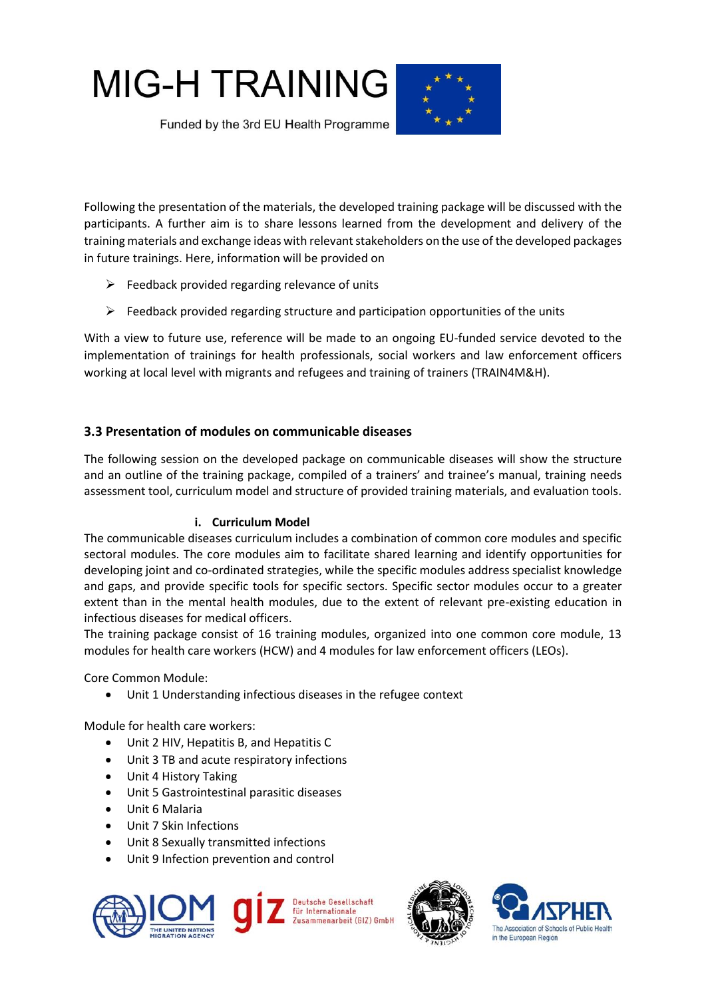# **MIG-H TRAINING**



Funded by the 3rd EU Health Programme

Following the presentation of the materials, the developed training package will be discussed with the participants. A further aim is to share lessons learned from the development and delivery of the training materials and exchange ideas with relevant stakeholders on the use of the developed packages in future trainings. Here, information will be provided on

- $\triangleright$  Feedback provided regarding relevance of units
- $\triangleright$  Feedback provided regarding structure and participation opportunities of the units

With a view to future use, reference will be made to an ongoing EU-funded service devoted to the implementation of trainings for health professionals, social workers and law enforcement officers working at local level with migrants and refugees and training of trainers (TRAIN4M&H).

# <span id="page-8-0"></span>**3.3 Presentation of modules on communicable diseases**

The following session on the developed package on communicable diseases will show the structure and an outline of the training package, compiled of a trainers' and trainee's manual, training needs assessment tool, curriculum model and structure of provided training materials, and evaluation tools.

# **i. Curriculum Model**

The communicable diseases curriculum includes a combination of common core modules and specific sectoral modules. The core modules aim to facilitate shared learning and identify opportunities for developing joint and co-ordinated strategies, while the specific modules address specialist knowledge and gaps, and provide specific tools for specific sectors. Specific sector modules occur to a greater extent than in the mental health modules, due to the extent of relevant pre-existing education in infectious diseases for medical officers.

The training package consist of 16 training modules, organized into one common core module, 13 modules for health care workers (HCW) and 4 modules for law enforcement officers (LEOs).

Core Common Module:

Unit 1 Understanding infectious diseases in the refugee context

Module for health care workers:

- Unit 2 HIV, Hepatitis B, and Hepatitis C
- Unit 3 TB and acute respiratory infections
- Unit 4 History Taking
- Unit 5 Gastrointestinal parasitic diseases
- Unit 6 Malaria
- Unit 7 Skin Infections
- Unit 8 Sexually transmitted infections
- Unit 9 Infection prevention and control







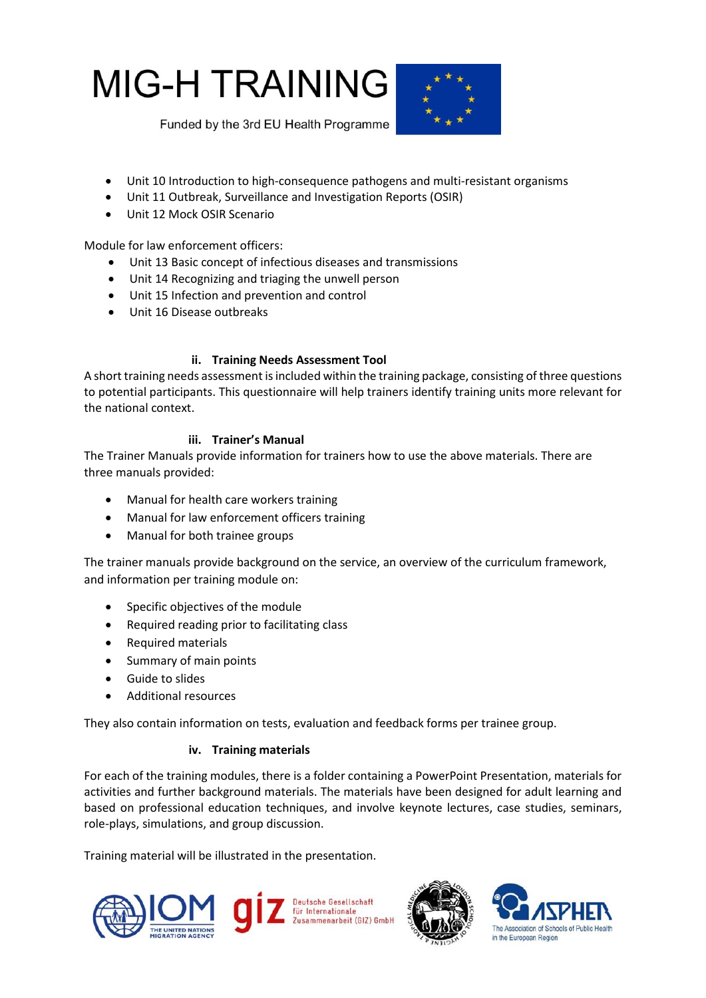



- Unit 10 Introduction to high-consequence pathogens and multi-resistant organisms
- Unit 11 Outbreak, Surveillance and Investigation Reports (OSIR)
- Unit 12 Mock OSIR Scenario

Module for law enforcement officers:

- Unit 13 Basic concept of infectious diseases and transmissions
- Unit 14 Recognizing and triaging the unwell person
- Unit 15 Infection and prevention and control
- Unit 16 Disease outbreaks

# **ii. Training Needs Assessment Tool**

A short training needs assessment is included within the training package, consisting of three questions to potential participants. This questionnaire will help trainers identify training units more relevant for the national context.

# **iii. Trainer's Manual**

The Trainer Manuals provide information for trainers how to use the above materials. There are three manuals provided:

- Manual for health care workers training
- Manual for law enforcement officers training
- Manual for both trainee groups

The trainer manuals provide background on the service, an overview of the curriculum framework, and information per training module on:

- Specific objectives of the module
- Required reading prior to facilitating class
- Required materials
- Summary of main points
- **•** Guide to slides
- Additional resources

They also contain information on tests, evaluation and feedback forms per trainee group.

# **iv. Training materials**

For each of the training modules, there is a folder containing a PowerPoint Presentation, materials for activities and further background materials. The materials have been designed for adult learning and based on professional education techniques, and involve keynote lectures, case studies, seminars, role-plays, simulations, and group discussion.

Training material will be illustrated in the presentation.





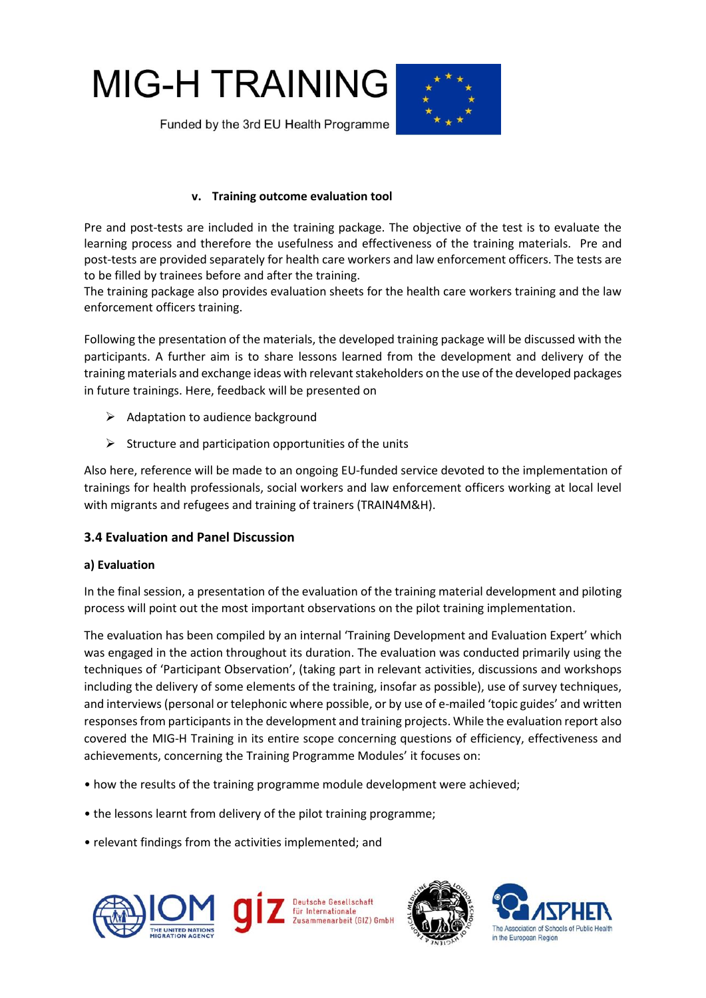



# **v. Training outcome evaluation tool**

Pre and post-tests are included in the training package. The objective of the test is to evaluate the learning process and therefore the usefulness and effectiveness of the training materials. Pre and post-tests are provided separately for health care workers and law enforcement officers. The tests are to be filled by trainees before and after the training.

The training package also provides evaluation sheets for the health care workers training and the law enforcement officers training.

Following the presentation of the materials, the developed training package will be discussed with the participants. A further aim is to share lessons learned from the development and delivery of the training materials and exchange ideas with relevant stakeholders on the use of the developed packages in future trainings. Here, feedback will be presented on

- $\triangleright$  Adaptation to audience background
- $\triangleright$  Structure and participation opportunities of the units

Also here, reference will be made to an ongoing EU-funded service devoted to the implementation of trainings for health professionals, social workers and law enforcement officers working at local level with migrants and refugees and training of trainers (TRAIN4M&H).

# <span id="page-10-0"></span>**3.4 Evaluation and Panel Discussion**

# **a) Evaluation**

In the final session, a presentation of the evaluation of the training material development and piloting process will point out the most important observations on the pilot training implementation.

The evaluation has been compiled by an internal 'Training Development and Evaluation Expert' which was engaged in the action throughout its duration. The evaluation was conducted primarily using the techniques of 'Participant Observation', (taking part in relevant activities, discussions and workshops including the delivery of some elements of the training, insofar as possible), use of survey techniques, and interviews (personal or telephonic where possible, or by use of e-mailed 'topic guides' and written responses from participants in the development and training projects. While the evaluation report also covered the MIG-H Training in its entire scope concerning questions of efficiency, effectiveness and achievements, concerning the Training Programme Modules' it focuses on:

- how the results of the training programme module development were achieved;
- the lessons learnt from delivery of the pilot training programme;
- relevant findings from the activities implemented; and





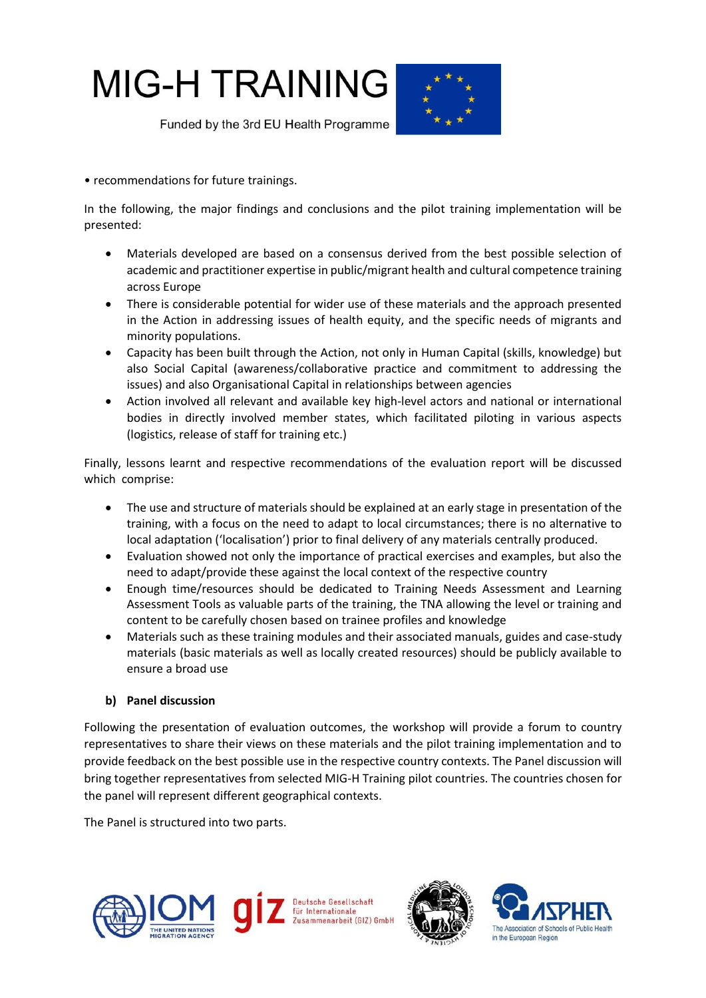# **MIG-H TRAINING**



Funded by the 3rd EU Health Programme

• recommendations for future trainings.

In the following, the major findings and conclusions and the pilot training implementation will be presented:

- Materials developed are based on a consensus derived from the best possible selection of academic and practitioner expertise in public/migrant health and cultural competence training across Europe
- There is considerable potential for wider use of these materials and the approach presented in the Action in addressing issues of health equity, and the specific needs of migrants and minority populations.
- Capacity has been built through the Action, not only in Human Capital (skills, knowledge) but also Social Capital (awareness/collaborative practice and commitment to addressing the issues) and also Organisational Capital in relationships between agencies
- Action involved all relevant and available key high-level actors and national or international bodies in directly involved member states, which facilitated piloting in various aspects (logistics, release of staff for training etc.)

Finally, lessons learnt and respective recommendations of the evaluation report will be discussed which comprise:

- The use and structure of materials should be explained at an early stage in presentation of the training, with a focus on the need to adapt to local circumstances; there is no alternative to local adaptation ('localisation') prior to final delivery of any materials centrally produced.
- Evaluation showed not only the importance of practical exercises and examples, but also the need to adapt/provide these against the local context of the respective country
- Enough time/resources should be dedicated to Training Needs Assessment and Learning Assessment Tools as valuable parts of the training, the TNA allowing the level or training and content to be carefully chosen based on trainee profiles and knowledge
- Materials such as these training modules and their associated manuals, guides and case-study materials (basic materials as well as locally created resources) should be publicly available to ensure a broad use

# **b) Panel discussion**

Following the presentation of evaluation outcomes, the workshop will provide a forum to country representatives to share their views on these materials and the pilot training implementation and to provide feedback on the best possible use in the respective country contexts. The Panel discussion will bring together representatives from selected MIG-H Training pilot countries. The countries chosen for the panel will represent different geographical contexts.

The Panel is structured into two parts.





<span id="page-11-0"></span>